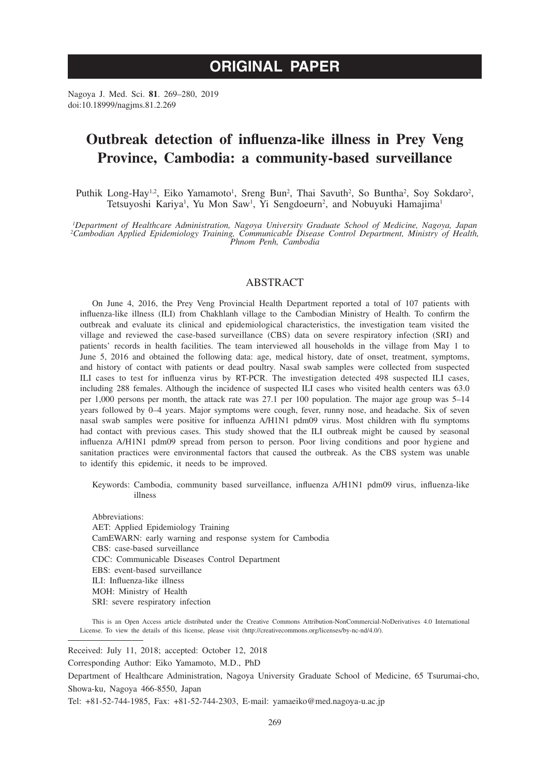# **ORIGINAL PAPER**

Nagoya J. Med. Sci. **81**. 269–280, 2019 doi:10.18999/nagjms.81.2.269

# **Outbreak detection of influenza-like illness in Prey Veng Province, Cambodia: a community-based surveillance**

Puthik Long-Hay<sup>1,2</sup>, Eiko Yamamoto<sup>1</sup>, Sreng Bun<sup>2</sup>, Thai Savuth<sup>2</sup>, So Buntha<sup>2</sup>, Soy Sokdaro<sup>2</sup>, Tetsuyoshi Kariya<sup>1</sup>, Yu Mon Saw<sup>1</sup>, Yi Sengdoeurn<sup>2</sup>, and Nobuyuki Hamajima<sup>1</sup>

*1 Department of Healthcare Administration, Nagoya University Graduate School of Medicine, Nagoya, Japan 2 Cambodian Applied Epidemiology Training, Communicable Disease Control Department, Ministry of Health, Phnom Penh, Cambodia*

## ABSTRACT

On June 4, 2016, the Prey Veng Provincial Health Department reported a total of 107 patients with influenza-like illness (ILI) from Chakhlanh village to the Cambodian Ministry of Health. To confirm the outbreak and evaluate its clinical and epidemiological characteristics, the investigation team visited the village and reviewed the case-based surveillance (CBS) data on severe respiratory infection (SRI) and patients' records in health facilities. The team interviewed all households in the village from May 1 to June 5, 2016 and obtained the following data: age, medical history, date of onset, treatment, symptoms, and history of contact with patients or dead poultry. Nasal swab samples were collected from suspected ILI cases to test for influenza virus by RT-PCR. The investigation detected 498 suspected ILI cases, including 288 females. Although the incidence of suspected ILI cases who visited health centers was 63.0 per 1,000 persons per month, the attack rate was 27.1 per 100 population. The major age group was 5–14 years followed by 0–4 years. Major symptoms were cough, fever, runny nose, and headache. Six of seven nasal swab samples were positive for influenza A/H1N1 pdm09 virus. Most children with flu symptoms had contact with previous cases. This study showed that the ILI outbreak might be caused by seasonal influenza A/H1N1 pdm09 spread from person to person. Poor living conditions and poor hygiene and sanitation practices were environmental factors that caused the outbreak. As the CBS system was unable to identify this epidemic, it needs to be improved.

Keywords: Cambodia, community based surveillance, influenza A/H1N1 pdm09 virus, influenza-like illness

Abbreviations: AET: Applied Epidemiology Training CamEWARN: early warning and response system for Cambodia CBS: case-based surveillance CDC: Communicable Diseases Control Department EBS: event-based surveillance ILI: Influenza-like illness MOH: Ministry of Health SRI: severe respiratory infection

This is an Open Access article distributed under the Creative Commons Attribution-NonCommercial-NoDerivatives 4.0 International License. To view the details of this license, please visit (http://creativecommons.org/licenses/by-nc-nd/4.0/).

Received: July 11, 2018; accepted: October 12, 2018

Corresponding Author: Eiko Yamamoto, M.D., PhD

Department of Healthcare Administration, Nagoya University Graduate School of Medicine, 65 Tsurumai-cho, Showa-ku, Nagoya 466-8550, Japan

Tel: +81-52-744-1985, Fax: +81-52-744-2303, E-mail: yamaeiko@med.nagoya-u.ac.jp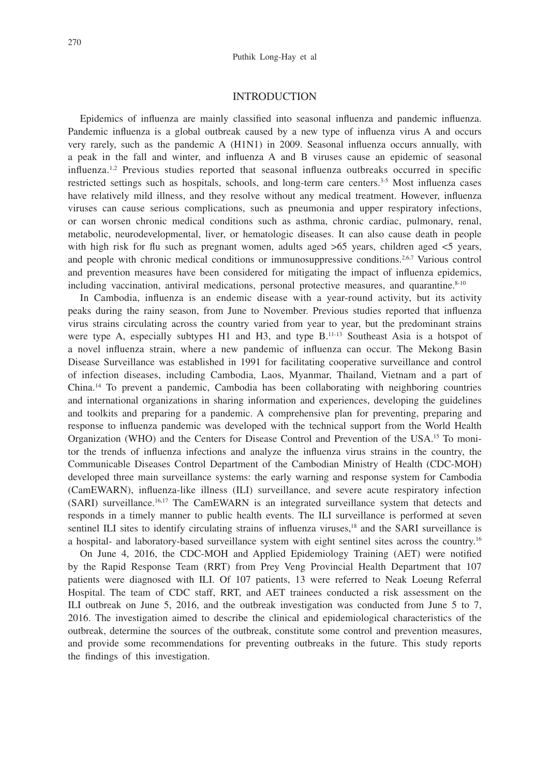## INTRODUCTION

Epidemics of influenza are mainly classified into seasonal influenza and pandemic influenza. Pandemic influenza is a global outbreak caused by a new type of influenza virus A and occurs very rarely, such as the pandemic A (H1N1) in 2009. Seasonal influenza occurs annually, with a peak in the fall and winter, and influenza A and B viruses cause an epidemic of seasonal influenza.<sup>1,2</sup> Previous studies reported that seasonal influenza outbreaks occurred in specific restricted settings such as hospitals, schools, and long-term care centers.<sup>3-5</sup> Most influenza cases have relatively mild illness, and they resolve without any medical treatment. However, influenza viruses can cause serious complications, such as pneumonia and upper respiratory infections, or can worsen chronic medical conditions such as asthma, chronic cardiac, pulmonary, renal, metabolic, neurodevelopmental, liver, or hematologic diseases. It can also cause death in people with high risk for flu such as pregnant women, adults aged  $>65$  years, children aged  $< 5$  years, and people with chronic medical conditions or immunosuppressive conditions.2,6,7 Various control and prevention measures have been considered for mitigating the impact of influenza epidemics, including vaccination, antiviral medications, personal protective measures, and quarantine. $8-10$ 

In Cambodia, influenza is an endemic disease with a year-round activity, but its activity peaks during the rainy season, from June to November. Previous studies reported that influenza virus strains circulating across the country varied from year to year, but the predominant strains were type A, especially subtypes H1 and H3, and type  $B$ <sup>11-13</sup> Southeast Asia is a hotspot of a novel influenza strain, where a new pandemic of influenza can occur. The Mekong Basin Disease Surveillance was established in 1991 for facilitating cooperative surveillance and control of infection diseases, including Cambodia, Laos, Myanmar, Thailand, Vietnam and a part of China.14 To prevent a pandemic, Cambodia has been collaborating with neighboring countries and international organizations in sharing information and experiences, developing the guidelines and toolkits and preparing for a pandemic. A comprehensive plan for preventing, preparing and response to influenza pandemic was developed with the technical support from the World Health Organization (WHO) and the Centers for Disease Control and Prevention of the USA.15 To monitor the trends of influenza infections and analyze the influenza virus strains in the country, the Communicable Diseases Control Department of the Cambodian Ministry of Health (CDC-MOH) developed three main surveillance systems: the early warning and response system for Cambodia (CamEWARN), influenza-like illness (ILI) surveillance, and severe acute respiratory infection (SARI) surveillance.<sup>16,17</sup> The CamEWARN is an integrated surveillance system that detects and responds in a timely manner to public health events. The ILI surveillance is performed at seven sentinel ILI sites to identify circulating strains of influenza viruses,<sup>18</sup> and the SARI surveillance is a hospital- and laboratory-based surveillance system with eight sentinel sites across the country.16

On June 4, 2016, the CDC-MOH and Applied Epidemiology Training (AET) were notified by the Rapid Response Team (RRT) from Prey Veng Provincial Health Department that 107 patients were diagnosed with ILI. Of 107 patients, 13 were referred to Neak Loeung Referral Hospital. The team of CDC staff, RRT, and AET trainees conducted a risk assessment on the ILI outbreak on June 5, 2016, and the outbreak investigation was conducted from June 5 to 7, 2016. The investigation aimed to describe the clinical and epidemiological characteristics of the outbreak, determine the sources of the outbreak, constitute some control and prevention measures, and provide some recommendations for preventing outbreaks in the future. This study reports the findings of this investigation.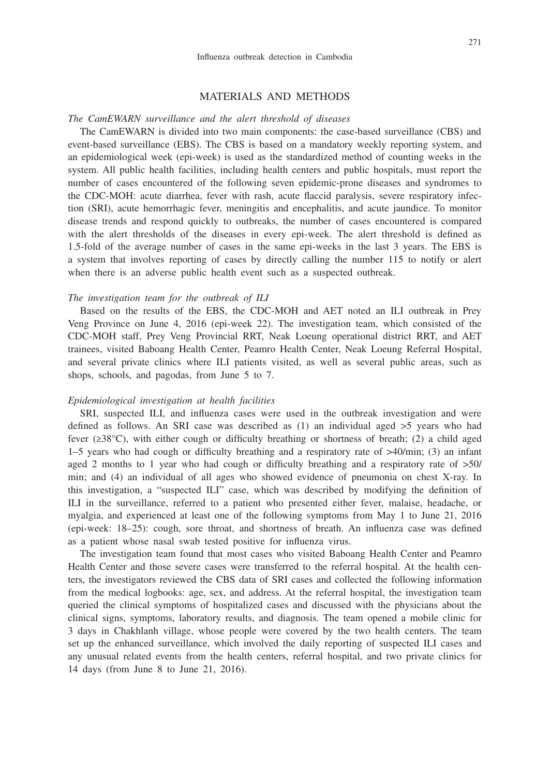#### MATERIALS AND METHODS

## *The CamEWARN surveillance and the alert threshold of diseases*

The CamEWARN is divided into two main components: the case-based surveillance (CBS) and event-based surveillance (EBS). The CBS is based on a mandatory weekly reporting system, and an epidemiological week (epi-week) is used as the standardized method of counting weeks in the system. All public health facilities, including health centers and public hospitals, must report the number of cases encountered of the following seven epidemic-prone diseases and syndromes to the CDC-MOH: acute diarrhea, fever with rash, acute flaccid paralysis, severe respiratory infection (SRI), acute hemorrhagic fever, meningitis and encephalitis, and acute jaundice. To monitor disease trends and respond quickly to outbreaks, the number of cases encountered is compared with the alert thresholds of the diseases in every epi-week. The alert threshold is defined as 1.5-fold of the average number of cases in the same epi-weeks in the last 3 years. The EBS is a system that involves reporting of cases by directly calling the number 115 to notify or alert when there is an adverse public health event such as a suspected outbreak.

#### *The investigation team for the outbreak of ILI*

Based on the results of the EBS, the CDC-MOH and AET noted an ILI outbreak in Prey Veng Province on June 4, 2016 (epi-week 22). The investigation team, which consisted of the CDC-MOH staff, Prey Veng Provincial RRT, Neak Loeung operational district RRT, and AET trainees, visited Baboang Health Center, Peamro Health Center, Neak Loeung Referral Hospital, and several private clinics where ILI patients visited, as well as several public areas, such as shops, schools, and pagodas, from June 5 to 7.

#### *Epidemiological investigation at health facilities*

SRI, suspected ILI, and influenza cases were used in the outbreak investigation and were defined as follows. An SRI case was described as  $(1)$  an individual aged  $>5$  years who had fever (≥38°C), with either cough or difficulty breathing or shortness of breath; (2) a child aged 1–5 years who had cough or difficulty breathing and a respiratory rate of >40/min; (3) an infant aged 2 months to 1 year who had cough or difficulty breathing and a respiratory rate of >50/ min; and (4) an individual of all ages who showed evidence of pneumonia on chest X-ray. In this investigation, a "suspected ILI" case, which was described by modifying the definition of ILI in the surveillance, referred to a patient who presented either fever, malaise, headache, or myalgia, and experienced at least one of the following symptoms from May 1 to June 21, 2016 (epi-week: 18–25): cough, sore throat, and shortness of breath. An influenza case was defined as a patient whose nasal swab tested positive for influenza virus.

The investigation team found that most cases who visited Baboang Health Center and Peamro Health Center and those severe cases were transferred to the referral hospital. At the health centers, the investigators reviewed the CBS data of SRI cases and collected the following information from the medical logbooks: age, sex, and address. At the referral hospital, the investigation team queried the clinical symptoms of hospitalized cases and discussed with the physicians about the clinical signs, symptoms, laboratory results, and diagnosis. The team opened a mobile clinic for 3 days in Chakhlanh village, whose people were covered by the two health centers. The team set up the enhanced surveillance, which involved the daily reporting of suspected ILI cases and any unusual related events from the health centers, referral hospital, and two private clinics for 14 days (from June 8 to June 21, 2016).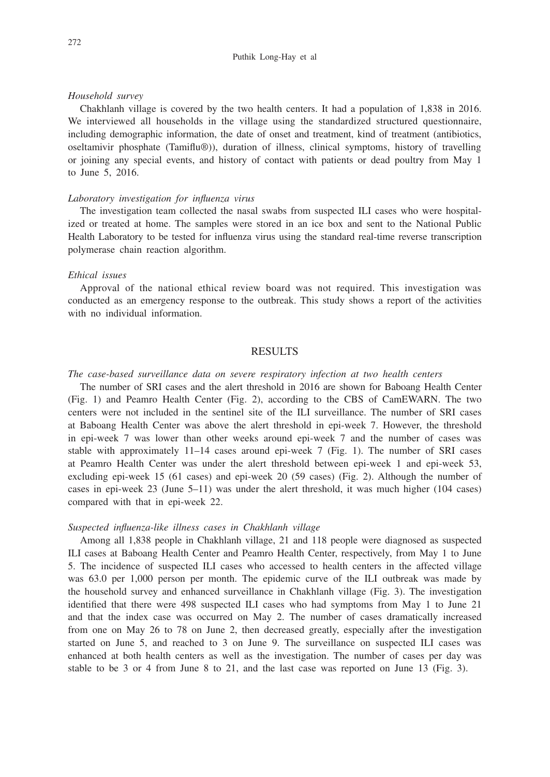### *Household survey*

Chakhlanh village is covered by the two health centers. It had a population of 1,838 in 2016. We interviewed all households in the village using the standardized structured questionnaire, including demographic information, the date of onset and treatment, kind of treatment (antibiotics, oseltamivir phosphate (Tamiflu®)), duration of illness, clinical symptoms, history of travelling or joining any special events, and history of contact with patients or dead poultry from May 1 to June 5, 2016.

#### *Laboratory investigation for influenza virus*

The investigation team collected the nasal swabs from suspected ILI cases who were hospitalized or treated at home. The samples were stored in an ice box and sent to the National Public Health Laboratory to be tested for influenza virus using the standard real-time reverse transcription polymerase chain reaction algorithm.

## *Ethical issues*

Approval of the national ethical review board was not required. This investigation was conducted as an emergency response to the outbreak. This study shows a report of the activities with no individual information.

## RESULTS

#### *The case-based surveillance data on severe respiratory infection at two health centers*

The number of SRI cases and the alert threshold in 2016 are shown for Baboang Health Center (Fig. 1) and Peamro Health Center (Fig. 2), according to the CBS of CamEWARN. The two centers were not included in the sentinel site of the ILI surveillance. The number of SRI cases at Baboang Health Center was above the alert threshold in epi-week 7. However, the threshold in epi-week 7 was lower than other weeks around epi-week 7 and the number of cases was stable with approximately 11–14 cases around epi-week 7 (Fig. 1). The number of SRI cases at Peamro Health Center was under the alert threshold between epi-week 1 and epi-week 53, excluding epi-week 15 (61 cases) and epi-week 20 (59 cases) (Fig. 2). Although the number of cases in epi-week 23 (June 5–11) was under the alert threshold, it was much higher (104 cases) compared with that in epi-week 22.

#### *Suspected influenza-like illness cases in Chakhlanh village*

Among all 1,838 people in Chakhlanh village, 21 and 118 people were diagnosed as suspected ILI cases at Baboang Health Center and Peamro Health Center, respectively, from May 1 to June 5. The incidence of suspected ILI cases who accessed to health centers in the affected village was 63.0 per 1,000 person per month. The epidemic curve of the ILI outbreak was made by the household survey and enhanced surveillance in Chakhlanh village (Fig. 3). The investigation identified that there were 498 suspected ILI cases who had symptoms from May 1 to June 21 and that the index case was occurred on May 2. The number of cases dramatically increased from one on May 26 to 78 on June 2, then decreased greatly, especially after the investigation started on June 5, and reached to 3 on June 9. The surveillance on suspected ILI cases was enhanced at both health centers as well as the investigation. The number of cases per day was stable to be 3 or 4 from June 8 to 21, and the last case was reported on June 13 (Fig. 3).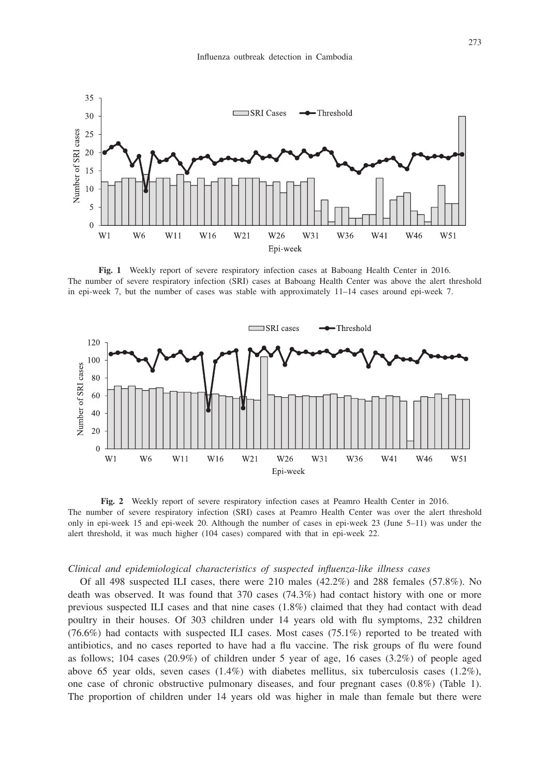

**Fig. 1** Weekly report of severe respiratory infection cases at Baboang Health Center in 2016. The number of severe respiratory infection (SRI) cases at Baboang Health Center was above the alert threshold in epi-week 7, but the number of cases was stable with approximately 11–14 cases around epi-week 7.



**Fig. 2** Weekly report of severe respiratory infection cases at Peamro Health Center in 2016. The number of severe respiratory infection (SRI) cases at Peamro Health Center was over the alert threshold only in epi-week 15 and epi-week 20. Although the number of cases in epi-week 23 (June 5–11) was under the alert threshold, it was much higher (104 cases) compared with that in epi-week 22.

#### *Clinical and epidemiological characteristics of suspected influenza-like illness cases*

Of all 498 suspected ILI cases, there were 210 males (42.2%) and 288 females (57.8%). No death was observed. It was found that 370 cases (74.3%) had contact history with one or more previous suspected ILI cases and that nine cases (1.8%) claimed that they had contact with dead poultry in their houses. Of 303 children under 14 years old with flu symptoms, 232 children  $(76.6%)$  had contacts with suspected ILI cases. Most cases  $(75.1%)$  reported to be treated with antibiotics, and no cases reported to have had a flu vaccine. The risk groups of flu were found as follows; 104 cases (20.9%) of children under 5 year of age, 16 cases (3.2%) of people aged above 65 year olds, seven cases  $(1.4\%)$  with diabetes mellitus, six tuberculosis cases  $(1.2\%)$ , one case of chronic obstructive pulmonary diseases, and four pregnant cases (0.8%) (Table 1). The proportion of children under 14 years old was higher in male than female but there were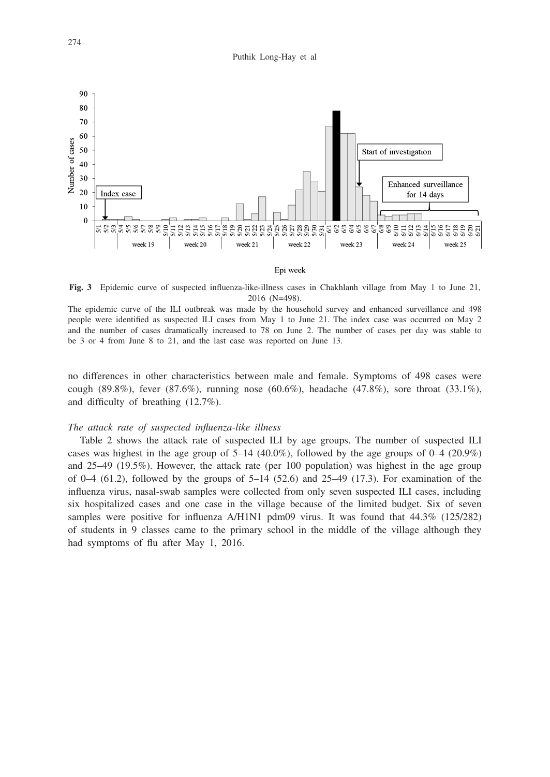

#### Epi week

**Fig. 3** Epidemic curve of suspected influenza-like-illness cases in Chakhlanh village from May 1 to June 21, 2016 (N=498).

The epidemic curve of the ILI outbreak was made by the household survey and enhanced surveillance and 498 people were identified as suspected ILI cases from May 1 to June 21. The index case was occurred on May 2 and the number of cases dramatically increased to 78 on June 2. The number of cases per day was stable to be 3 or 4 from June 8 to 21, and the last case was reported on June 13.

no differences in other characteristics between male and female. Symptoms of 498 cases were cough (89.8%), fever (87.6%), running nose (60.6%), headache (47.8%), sore throat (33.1%), and difficulty of breathing (12.7%).

#### *The attack rate of suspected influenza-like illness*

Table 2 shows the attack rate of suspected ILI by age groups. The number of suspected ILI cases was highest in the age group of  $5-14$  (40.0%), followed by the age groups of  $0-4$  (20.9%) and 25–49 (19.5%). However, the attack rate (per 100 population) was highest in the age group of  $0-4$  (61.2), followed by the groups of  $5-14$  (52.6) and 25–49 (17.3). For examination of the influenza virus, nasal-swab samples were collected from only seven suspected ILI cases, including six hospitalized cases and one case in the village because of the limited budget. Six of seven samples were positive for influenza A/H1N1 pdm09 virus. It was found that 44.3% (125/282) of students in 9 classes came to the primary school in the middle of the village although they had symptoms of flu after May 1, 2016.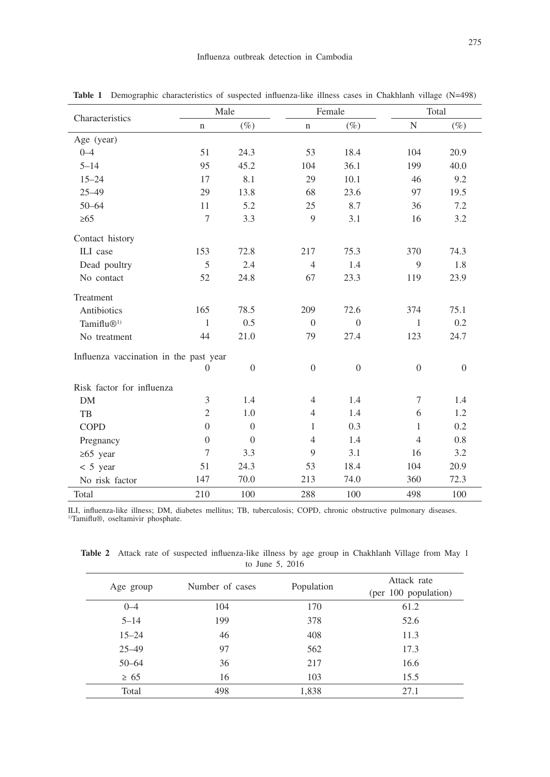| Characteristics                        | Male             |                  | Female           |                  | Total          |                |  |
|----------------------------------------|------------------|------------------|------------------|------------------|----------------|----------------|--|
|                                        | n                | $(\%)$           | n                | $(\%)$           | N              | $(\%)$         |  |
| Age (year)                             |                  |                  |                  |                  |                |                |  |
| $0 - 4$                                | 51               | 24.3             | 53               | 18.4             | 104            | 20.9           |  |
| $5 - 14$                               | 95               | 45.2             | 104              | 36.1             | 199            | 40.0           |  |
| $15 - 24$                              | 17               | 8.1              | 29               | 10.1             | 46             | 9.2            |  |
| $25 - 49$                              | 29               | 13.8             | 68               | 23.6             | 97             | 19.5           |  |
| $50 - 64$                              | 11               | 5.2              | 25               | 8.7              | 36             | 7.2            |  |
| $\geq 65$                              | 7                | 3.3              | 9                | 3.1              | 16             | 3.2            |  |
| Contact history                        |                  |                  |                  |                  |                |                |  |
| ILI case                               | 153              | 72.8             | 217              | 75.3             | 370            | 74.3           |  |
| Dead poultry                           | 5                | 2.4              | $\overline{4}$   | 1.4              | 9              | 1.8            |  |
| No contact                             | 52               | 24.8             | 67               | 23.3             | 119            | 23.9           |  |
| Treatment                              |                  |                  |                  |                  |                |                |  |
| Antibiotics                            | 165              | 78.5             | 209              | 72.6             | 374            | 75.1           |  |
| Tamiflu $\mathbb{D}^{1}$               | 1                | 0.5              | $\theta$         | $\theta$         | 1              | 0.2            |  |
| No treatment                           | 44               | 21.0             | 79               | 27.4             | 123            | 24.7           |  |
| Influenza vaccination in the past year |                  |                  |                  |                  |                |                |  |
|                                        | $\boldsymbol{0}$ | $\boldsymbol{0}$ | $\boldsymbol{0}$ | $\boldsymbol{0}$ | $\theta$       | $\overline{0}$ |  |
| Risk factor for influenza              |                  |                  |                  |                  |                |                |  |
| <b>DM</b>                              | 3                | 1.4              | $\overline{4}$   | 1.4              | $\tau$         | 1.4            |  |
| TB                                     | $\mathfrak{2}$   | 1.0              | $\overline{4}$   | 1.4              | 6              | 1.2            |  |
| <b>COPD</b>                            | $\mathbf{0}$     | $\overline{0}$   | 1                | 0.3              | 1              | 0.2            |  |
| Pregnancy                              | $\overline{0}$   | $\overline{0}$   | $\overline{4}$   | 1.4              | $\overline{4}$ | 0.8            |  |
| $\geq 65$ year                         | $\tau$           | 3.3              | 9                | 3.1              | 16             | 3.2            |  |
| $< 5$ year                             | 51               | 24.3             | 53               | 18.4             | 104            | 20.9           |  |
| No risk factor                         | 147              | 70.0             | 213              | 74.0             | 360            | 72.3           |  |
| Total                                  | 210              | 100              | 288              | 100              | 498            | 100            |  |

**Table 1** Demographic characteristics of suspected influenza-like illness cases in Chakhlanh village (N=498)

ILI, influenza-like illness; DM, diabetes mellitus; TB, tuberculosis; COPD, chronic obstructive pulmonary diseases. 1)Tamiflu®, oseltamivir phosphate.

**Table 2** Attack rate of suspected influenza-like illness by age group in Chakhlanh Village from May 1 to June 5, 2016

| Age group | Number of cases | Population | Attack rate<br>(per 100 population) |
|-----------|-----------------|------------|-------------------------------------|
| $0 - 4$   | 104             | 170        | 61.2                                |
| $5 - 14$  | 199             | 378        | 52.6                                |
| $15 - 24$ | 46              | 408        | 11.3                                |
| $25 - 49$ | 97              | 562        | 17.3                                |
| $50 - 64$ | 36              | 217        | 16.6                                |
| $\geq 65$ | 16              | 103        | 15.5                                |
| Total     | 498             | 1,838      | 27.1                                |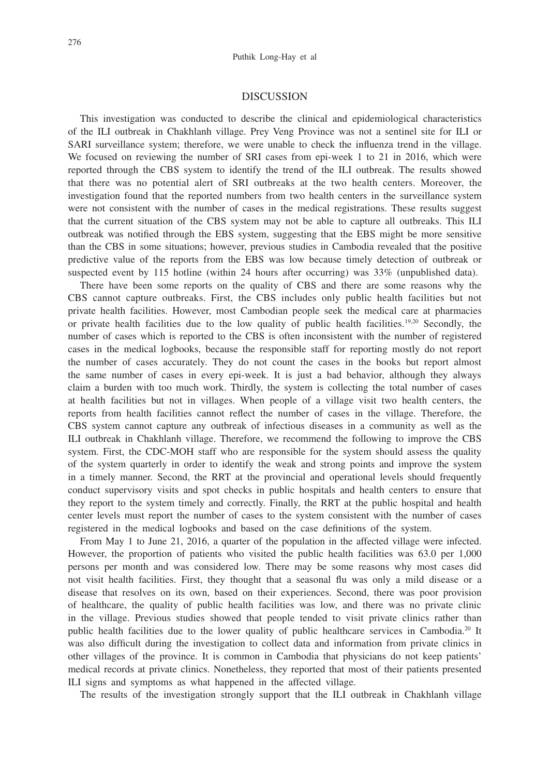### DISCUSSION

This investigation was conducted to describe the clinical and epidemiological characteristics of the ILI outbreak in Chakhlanh village. Prey Veng Province was not a sentinel site for ILI or SARI surveillance system; therefore, we were unable to check the influenza trend in the village. We focused on reviewing the number of SRI cases from epi-week 1 to 21 in 2016, which were reported through the CBS system to identify the trend of the ILI outbreak. The results showed that there was no potential alert of SRI outbreaks at the two health centers. Moreover, the investigation found that the reported numbers from two health centers in the surveillance system were not consistent with the number of cases in the medical registrations. These results suggest that the current situation of the CBS system may not be able to capture all outbreaks. This ILI outbreak was notified through the EBS system, suggesting that the EBS might be more sensitive than the CBS in some situations; however, previous studies in Cambodia revealed that the positive predictive value of the reports from the EBS was low because timely detection of outbreak or suspected event by 115 hotline (within 24 hours after occurring) was 33% (unpublished data).

There have been some reports on the quality of CBS and there are some reasons why the CBS cannot capture outbreaks. First, the CBS includes only public health facilities but not private health facilities. However, most Cambodian people seek the medical care at pharmacies or private health facilities due to the low quality of public health facilities.<sup>19,20</sup> Secondly, the number of cases which is reported to the CBS is often inconsistent with the number of registered cases in the medical logbooks, because the responsible staff for reporting mostly do not report the number of cases accurately. They do not count the cases in the books but report almost the same number of cases in every epi-week. It is just a bad behavior, although they always claim a burden with too much work. Thirdly, the system is collecting the total number of cases at health facilities but not in villages. When people of a village visit two health centers, the reports from health facilities cannot reflect the number of cases in the village. Therefore, the CBS system cannot capture any outbreak of infectious diseases in a community as well as the ILI outbreak in Chakhlanh village. Therefore, we recommend the following to improve the CBS system. First, the CDC-MOH staff who are responsible for the system should assess the quality of the system quarterly in order to identify the weak and strong points and improve the system in a timely manner. Second, the RRT at the provincial and operational levels should frequently conduct supervisory visits and spot checks in public hospitals and health centers to ensure that they report to the system timely and correctly. Finally, the RRT at the public hospital and health center levels must report the number of cases to the system consistent with the number of cases registered in the medical logbooks and based on the case definitions of the system.

From May 1 to June 21, 2016, a quarter of the population in the affected village were infected. However, the proportion of patients who visited the public health facilities was 63.0 per 1,000 persons per month and was considered low. There may be some reasons why most cases did not visit health facilities. First, they thought that a seasonal flu was only a mild disease or a disease that resolves on its own, based on their experiences. Second, there was poor provision of healthcare, the quality of public health facilities was low, and there was no private clinic in the village. Previous studies showed that people tended to visit private clinics rather than public health facilities due to the lower quality of public healthcare services in Cambodia.20 It was also difficult during the investigation to collect data and information from private clinics in other villages of the province. It is common in Cambodia that physicians do not keep patients' medical records at private clinics. Nonetheless, they reported that most of their patients presented ILI signs and symptoms as what happened in the affected village.

The results of the investigation strongly support that the ILI outbreak in Chakhlanh village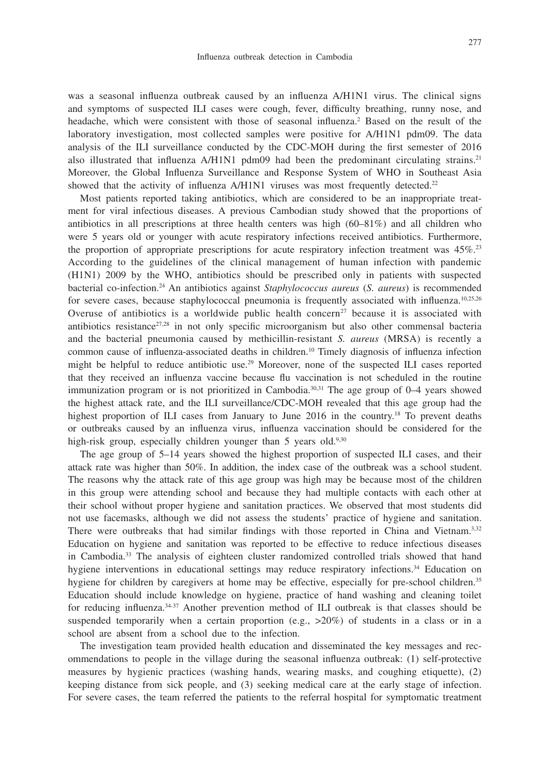was a seasonal influenza outbreak caused by an influenza A/H1N1 virus. The clinical signs and symptoms of suspected ILI cases were cough, fever, difficulty breathing, runny nose, and headache, which were consistent with those of seasonal influenza.<sup>2</sup> Based on the result of the laboratory investigation, most collected samples were positive for A/H1N1 pdm09. The data analysis of the ILI surveillance conducted by the CDC-MOH during the first semester of 2016 also illustrated that influenza  $A/H1N1$  pdm09 had been the predominant circulating strains.<sup>21</sup> Moreover, the Global Influenza Surveillance and Response System of WHO in Southeast Asia showed that the activity of influenza A/H1N1 viruses was most frequently detected.<sup>22</sup>

Most patients reported taking antibiotics, which are considered to be an inappropriate treatment for viral infectious diseases. A previous Cambodian study showed that the proportions of antibiotics in all prescriptions at three health centers was high  $(60-81\%)$  and all children who were 5 years old or younger with acute respiratory infections received antibiotics. Furthermore, the proportion of appropriate prescriptions for acute respiratory infection treatment was 45%.<sup>23</sup> According to the guidelines of the clinical management of human infection with pandemic (H1N1) 2009 by the WHO, antibiotics should be prescribed only in patients with suspected bacterial co-infection.24 An antibiotics against *Staphylococcus aureus* (*S. aureus*) is recommended for severe cases, because staphylococcal pneumonia is frequently associated with influenza.<sup>10,25,26</sup> Overuse of antibiotics is a worldwide public health concern<sup>27</sup> because it is associated with antibiotics resistance<sup>27,28</sup> in not only specific microorganism but also other commensal bacteria and the bacterial pneumonia caused by methicillin-resistant *S. aureus* (MRSA) is recently a common cause of influenza-associated deaths in children.10 Timely diagnosis of influenza infection might be helpful to reduce antibiotic use.29 Moreover, none of the suspected ILI cases reported that they received an influenza vaccine because flu vaccination is not scheduled in the routine immunization program or is not prioritized in Cambodia.30,31 The age group of 0–4 years showed the highest attack rate, and the ILI surveillance/CDC-MOH revealed that this age group had the highest proportion of ILI cases from January to June 2016 in the country.<sup>18</sup> To prevent deaths or outbreaks caused by an influenza virus, influenza vaccination should be considered for the high-risk group, especially children younger than 5 years old.<sup>9,30</sup>

The age group of 5–14 years showed the highest proportion of suspected ILI cases, and their attack rate was higher than 50%. In addition, the index case of the outbreak was a school student. The reasons why the attack rate of this age group was high may be because most of the children in this group were attending school and because they had multiple contacts with each other at their school without proper hygiene and sanitation practices. We observed that most students did not use facemasks, although we did not assess the students' practice of hygiene and sanitation. There were outbreaks that had similar findings with those reported in China and Vietnam.<sup>3,32</sup> Education on hygiene and sanitation was reported to be effective to reduce infectious diseases in Cambodia.33 The analysis of eighteen cluster randomized controlled trials showed that hand hygiene interventions in educational settings may reduce respiratory infections.34 Education on hygiene for children by caregivers at home may be effective, especially for pre-school children.<sup>35</sup> Education should include knowledge on hygiene, practice of hand washing and cleaning toilet for reducing influenza.34-37 Another prevention method of ILI outbreak is that classes should be suspended temporarily when a certain proportion (e.g.,  $>20\%$ ) of students in a class or in a school are absent from a school due to the infection.

The investigation team provided health education and disseminated the key messages and recommendations to people in the village during the seasonal influenza outbreak: (1) self-protective measures by hygienic practices (washing hands, wearing masks, and coughing etiquette), (2) keeping distance from sick people, and (3) seeking medical care at the early stage of infection. For severe cases, the team referred the patients to the referral hospital for symptomatic treatment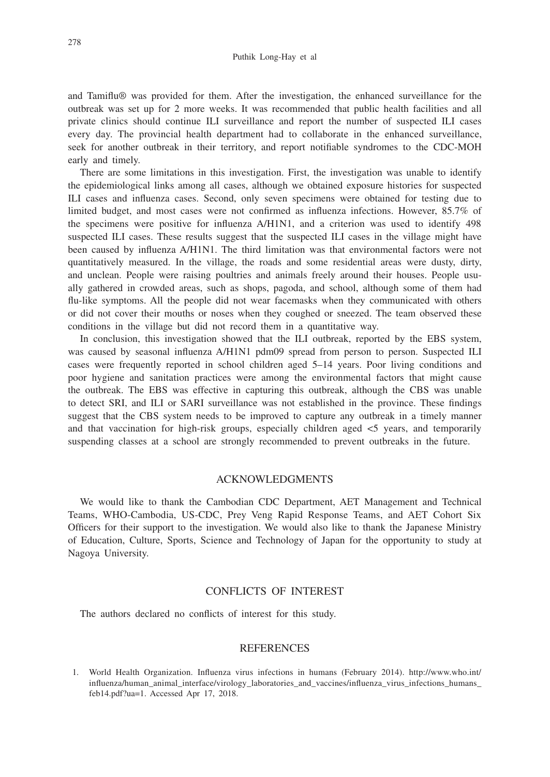and Tamiflu® was provided for them. After the investigation, the enhanced surveillance for the outbreak was set up for 2 more weeks. It was recommended that public health facilities and all private clinics should continue ILI surveillance and report the number of suspected ILI cases every day. The provincial health department had to collaborate in the enhanced surveillance, seek for another outbreak in their territory, and report notifiable syndromes to the CDC-MOH early and timely.

There are some limitations in this investigation. First, the investigation was unable to identify the epidemiological links among all cases, although we obtained exposure histories for suspected ILI cases and influenza cases. Second, only seven specimens were obtained for testing due to limited budget, and most cases were not confirmed as influenza infections. However, 85.7% of the specimens were positive for influenza A/H1N1, and a criterion was used to identify 498 suspected ILI cases. These results suggest that the suspected ILI cases in the village might have been caused by influenza A/H1N1. The third limitation was that environmental factors were not quantitatively measured. In the village, the roads and some residential areas were dusty, dirty, and unclean. People were raising poultries and animals freely around their houses. People usually gathered in crowded areas, such as shops, pagoda, and school, although some of them had flu-like symptoms. All the people did not wear facemasks when they communicated with others or did not cover their mouths or noses when they coughed or sneezed. The team observed these conditions in the village but did not record them in a quantitative way.

In conclusion, this investigation showed that the ILI outbreak, reported by the EBS system, was caused by seasonal influenza A/H1N1 pdm09 spread from person to person. Suspected ILI cases were frequently reported in school children aged 5–14 years. Poor living conditions and poor hygiene and sanitation practices were among the environmental factors that might cause the outbreak. The EBS was effective in capturing this outbreak, although the CBS was unable to detect SRI, and ILI or SARI surveillance was not established in the province. These findings suggest that the CBS system needs to be improved to capture any outbreak in a timely manner and that vaccination for high-risk groups, especially children aged <5 years, and temporarily suspending classes at a school are strongly recommended to prevent outbreaks in the future.

### ACKNOWLEDGMENTS

We would like to thank the Cambodian CDC Department, AET Management and Technical Teams, WHO-Cambodia, US-CDC, Prey Veng Rapid Response Teams, and AET Cohort Six Officers for their support to the investigation. We would also like to thank the Japanese Ministry of Education, Culture, Sports, Science and Technology of Japan for the opportunity to study at Nagoya University.

## CONFLICTS OF INTEREST

The authors declared no conflicts of interest for this study.

## REFERENCES

1. World Health Organization. Influenza virus infections in humans (February 2014). http://www.who.int/ influenza/human\_animal\_interface/virology\_laboratories\_and\_vaccines/influenza\_virus\_infections\_humans\_ feb14.pdf?ua=1. Accessed Apr 17, 2018.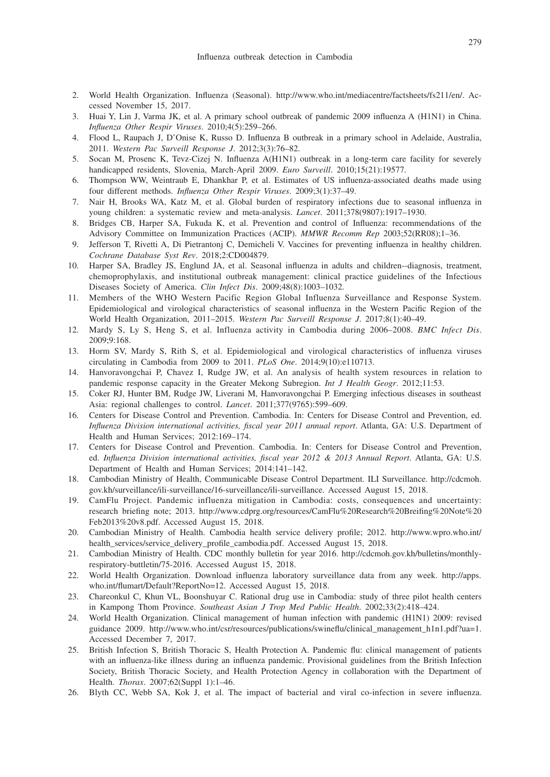- 2. World Health Organization. Influenza (Seasonal). http://www.who.int/mediacentre/factsheets/fs211/en/. Accessed November 15, 2017.
- 3. Huai Y, Lin J, Varma JK, et al. A primary school outbreak of pandemic 2009 influenza A (H1N1) in China. *Influenza Other Respir Viruses*. 2010;4(5):259–266.
- 4. Flood L, Raupach J, D'Onise K, Russo D. Influenza B outbreak in a primary school in Adelaide, Australia, 2011. *Western Pac Surveill Response J*. 2012;3(3):76–82.
- 5. Socan M, Prosenc K, Tevz-Cizej N. Influenza A(H1N1) outbreak in a long-term care facility for severely handicapped residents, Slovenia, March-April 2009. *Euro Surveill*. 2010;15(21):19577.
- 6. Thompson WW, Weintraub E, Dhankhar P, et al. Estimates of US influenza-associated deaths made using four different methods. *Influenza Other Respir Viruses*. 2009;3(1):37–49.
- 7. Nair H, Brooks WA, Katz M, et al. Global burden of respiratory infections due to seasonal influenza in young children: a systematic review and meta-analysis. *Lancet*. 2011;378(9807):1917–1930.
- 8. Bridges CB, Harper SA, Fukuda K, et al. Prevention and control of Influenza: recommendations of the Advisory Committee on Immunization Practices (ACIP). *MMWR Recomm Rep* 2003;52(RR08);1–36.
- 9. Jefferson T, Rivetti A, Di Pietrantonj C, Demicheli V. Vaccines for preventing influenza in healthy children. *Cochrane Database Syst Rev*. 2018;2:CD004879.
- 10. Harper SA, Bradley JS, Englund JA, et al. Seasonal influenza in adults and children--diagnosis, treatment, chemoprophylaxis, and institutional outbreak management: clinical practice guidelines of the Infectious Diseases Society of America. *Clin Infect Dis*. 2009;48(8):1003–1032.
- 11. Members of the WHO Western Pacific Region Global Influenza Surveillance and Response System. Epidemiological and virological characteristics of seasonal influenza in the Western Pacific Region of the World Health Organization, 2011–2015. *Western Pac Surveill Response J*. 2017;8(1):40–49.
- 12. Mardy S, Ly S, Heng S, et al. Influenza activity in Cambodia during 2006–2008. *BMC Infect Dis*. 2009;9:168.
- 13. Horm SV, Mardy S, Rith S, et al. Epidemiological and virological characteristics of influenza viruses circulating in Cambodia from 2009 to 2011. *PLoS One*. 2014;9(10):e110713.
- 14. Hanvoravongchai P, Chavez I, Rudge JW, et al. An analysis of health system resources in relation to pandemic response capacity in the Greater Mekong Subregion. *Int J Health Geogr*. 2012;11:53.
- 15. Coker RJ, Hunter BM, Rudge JW, Liverani M, Hanvoravongchai P. Emerging infectious diseases in southeast Asia: regional challenges to control. *Lancet*. 2011;377(9765):599–609.
- 16. Centers for Disease Control and Prevention. Cambodia. In: Centers for Disease Control and Prevention, ed. *Influenza Division international activities, fiscal year 2011 annual report*. Atlanta, GA: U.S. Department of Health and Human Services; 2012:169–174.
- 17. Centers for Disease Control and Prevention. Cambodia. In: Centers for Disease Control and Prevention, ed. *Influenza Division international activities, fiscal year 2012 & 2013 Annual Report*. Atlanta, GA: U.S. Department of Health and Human Services; 2014:141–142.
- 18. Cambodian Ministry of Health, Communicable Disease Control Department. ILI Surveillance. http://cdcmoh. gov.kh/surveillance/ili-surveillance/16-surveillance/ili-surveillance. Accessed August 15, 2018.
- 19. CamFlu Project. Pandemic influenza mitigation in Cambodia: costs, consequences and uncertainty: research briefing note; 2013. http://www.cdprg.org/resources/CamFlu%20Research%20Breifing%20Note%20 Feb2013%20v8.pdf. Accessed August 15, 2018.
- 20. Cambodian Ministry of Health. Cambodia health service delivery profile; 2012. http://www.wpro.who.int/ health\_services/service\_delivery\_profile\_cambodia.pdf. Accessed August 15, 2018.
- 21. Cambodian Ministry of Health. CDC monthly bulletin for year 2016. http://cdcmoh.gov.kh/bulletins/monthlyrespiratory-buttletin/75-2016. Accessed August 15, 2018.
- 22. World Health Organization. Download influenza laboratory surveillance data from any week. http://apps. who.int/flumart/Default?ReportNo=12. Accessed August 15, 2018.
- 23. Chareonkul C, Khun VL, Boonshuyar C. Rational drug use in Cambodia: study of three pilot health centers in Kampong Thom Province. *Southeast Asian J Trop Med Public Health*. 2002;33(2):418–424.
- 24. World Health Organization. Clinical management of human infection with pandemic (H1N1) 2009: revised guidance 2009. http://www.who.int/csr/resources/publications/swineflu/clinical\_management\_h1n1.pdf?ua=1. Accessed December 7, 2017.
- 25. British Infection S, British Thoracic S, Health Protection A. Pandemic flu: clinical management of patients with an influenza-like illness during an influenza pandemic. Provisional guidelines from the British Infection Society, British Thoracic Society, and Health Protection Agency in collaboration with the Department of Health. *Thorax*. 2007;62(Suppl 1):1–46.
- 26. Blyth CC, Webb SA, Kok J, et al. The impact of bacterial and viral co-infection in severe influenza.